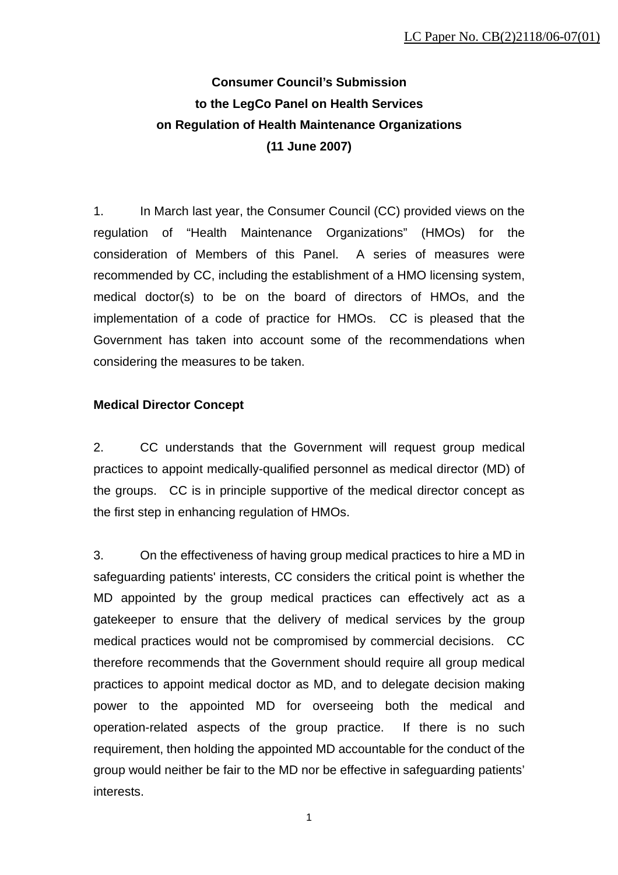# **Consumer Council's Submission to the LegCo Panel on Health Services on Regulation of Health Maintenance Organizations (11 June 2007)**

1. In March last year, the Consumer Council (CC) provided views on the regulation of "Health Maintenance Organizations" (HMOs) for the consideration of Members of this Panel. A series of measures were recommended by CC, including the establishment of a HMO licensing system, medical doctor(s) to be on the board of directors of HMOs, and the implementation of a code of practice for HMOs. CC is pleased that the Government has taken into account some of the recommendations when considering the measures to be taken.

# **Medical Director Concept**

2. CC understands that the Government will request group medical practices to appoint medically-qualified personnel as medical director (MD) of the groups. CC is in principle supportive of the medical director concept as the first step in enhancing regulation of HMOs.

3. On the effectiveness of having group medical practices to hire a MD in safeguarding patients' interests, CC considers the critical point is whether the MD appointed by the group medical practices can effectively act as a gatekeeper to ensure that the delivery of medical services by the group medical practices would not be compromised by commercial decisions. CC therefore recommends that the Government should require all group medical practices to appoint medical doctor as MD, and to delegate decision making power to the appointed MD for overseeing both the medical and operation-related aspects of the group practice. If there is no such requirement, then holding the appointed MD accountable for the conduct of the group would neither be fair to the MD nor be effective in safeguarding patients' interests.

1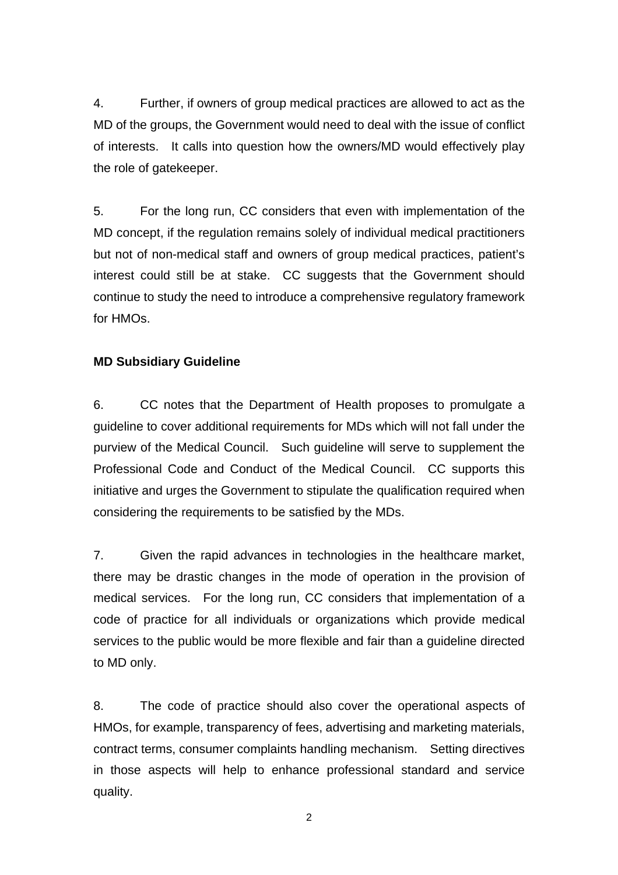4. Further, if owners of group medical practices are allowed to act as the MD of the groups, the Government would need to deal with the issue of conflict of interests. It calls into question how the owners/MD would effectively play the role of gatekeeper.

5. For the long run, CC considers that even with implementation of the MD concept, if the regulation remains solely of individual medical practitioners but not of non-medical staff and owners of group medical practices, patient's interest could still be at stake. CC suggests that the Government should continue to study the need to introduce a comprehensive regulatory framework for HMOs.

## **MD Subsidiary Guideline**

6. CC notes that the Department of Health proposes to promulgate a guideline to cover additional requirements for MDs which will not fall under the purview of the Medical Council. Such guideline will serve to supplement the Professional Code and Conduct of the Medical Council. CC supports this initiative and urges the Government to stipulate the qualification required when considering the requirements to be satisfied by the MDs.

7. Given the rapid advances in technologies in the healthcare market, there may be drastic changes in the mode of operation in the provision of medical services. For the long run, CC considers that implementation of a code of practice for all individuals or organizations which provide medical services to the public would be more flexible and fair than a guideline directed to MD only.

8. The code of practice should also cover the operational aspects of HMOs, for example, transparency of fees, advertising and marketing materials, contract terms, consumer complaints handling mechanism. Setting directives in those aspects will help to enhance professional standard and service quality.